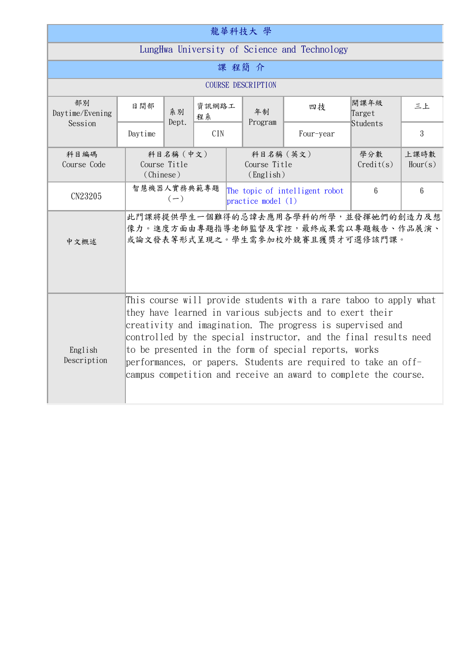| 龍華科技大 學                                      |                                                                                                                                                                                                                                                                                                                                                                                                                                                               |                                        |             |                                                        |               |                                                                                                                  |                 |                 |  |  |
|----------------------------------------------|---------------------------------------------------------------------------------------------------------------------------------------------------------------------------------------------------------------------------------------------------------------------------------------------------------------------------------------------------------------------------------------------------------------------------------------------------------------|----------------------------------------|-------------|--------------------------------------------------------|---------------|------------------------------------------------------------------------------------------------------------------|-----------------|-----------------|--|--|
| LungHwa University of Science and Technology |                                                                                                                                                                                                                                                                                                                                                                                                                                                               |                                        |             |                                                        |               |                                                                                                                  |                 |                 |  |  |
| 課程簡介                                         |                                                                                                                                                                                                                                                                                                                                                                                                                                                               |                                        |             |                                                        |               |                                                                                                                  |                 |                 |  |  |
| <b>COURSE DESCRIPTION</b>                    |                                                                                                                                                                                                                                                                                                                                                                                                                                                               |                                        |             |                                                        |               |                                                                                                                  |                 |                 |  |  |
| 部別<br>Daytime/Evening<br>Session             | 日間部                                                                                                                                                                                                                                                                                                                                                                                                                                                           | 系別<br>Dept.                            | 資訊網路工<br>程系 |                                                        | 年制<br>Program | 四技                                                                                                               | 開課年級<br>Target  | 三上              |  |  |
|                                              | Daytime                                                                                                                                                                                                                                                                                                                                                                                                                                                       |                                        | <b>CIN</b>  |                                                        |               | Four-year                                                                                                        | Students        | 3               |  |  |
| 科目編碼<br>Course Code                          |                                                                                                                                                                                                                                                                                                                                                                                                                                                               | 科目名稱 (中文)<br>Course Title<br>(Chinese) |             |                                                        |               | 科目名稱 (英文)<br>Course Title<br>(English)                                                                           |                 | 上課時數<br>Hour(s) |  |  |
| CN23205                                      |                                                                                                                                                                                                                                                                                                                                                                                                                                                               | 智慧機器人實務典範專題<br>$(-)$                   |             | The topic of intelligent robot<br>practice model $(1)$ |               | $6\phantom{.}6$                                                                                                  | $6\phantom{.}6$ |                 |  |  |
| 中文概述                                         |                                                                                                                                                                                                                                                                                                                                                                                                                                                               |                                        |             |                                                        |               | 此門課將提供學生一個難得的忌諱去應用各學科的所學,並發揮她們的創造力及想<br>像力。進度方面由專題指導老師監督及掌控,最終成果需以專題報告、作品展演、<br>或論文發表等形式呈現之。學生需參加校外競賽且獲獎才可選修該門課。 |                 |                 |  |  |
| English<br>Description                       | This course will provide students with a rare taboo to apply what<br>they have learned in various subjects and to exert their<br>creativity and imagination. The progress is supervised and<br>controlled by the special instructor, and the final results need<br>to be presented in the form of special reports, works<br>performances, or papers. Students are required to take an off-<br>campus competition and receive an award to complete the course. |                                        |             |                                                        |               |                                                                                                                  |                 |                 |  |  |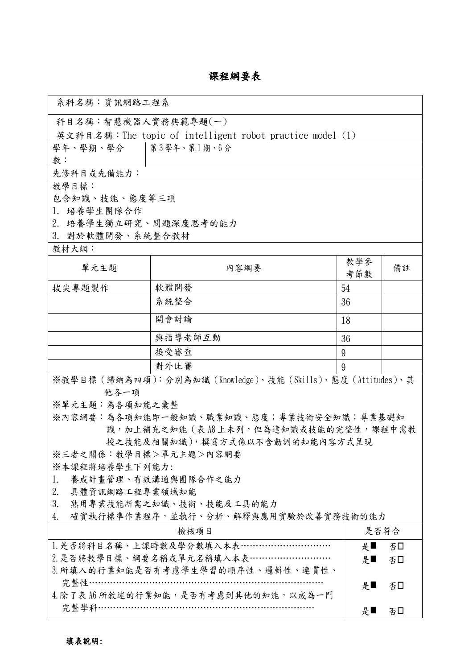## 課程綱要表

٦

| 系科名稱:資訊網路工程系                                             |                                    |      |    |  |  |  |  |  |
|----------------------------------------------------------|------------------------------------|------|----|--|--|--|--|--|
| 科目名稱:智慧機器人實務典範專題(一)                                      |                                    |      |    |  |  |  |  |  |
| 英文科目名稱:The topic of intelligent robot practice model (1) |                                    |      |    |  |  |  |  |  |
| 學年、學期、學分   第3學年、第1期、6分                                   |                                    |      |    |  |  |  |  |  |
| 數:                                                       |                                    |      |    |  |  |  |  |  |
| 先修科目或先備能力:                                               |                                    |      |    |  |  |  |  |  |
| 教學目標:                                                    |                                    |      |    |  |  |  |  |  |
| 包含知識、技能、態度等三項                                            |                                    |      |    |  |  |  |  |  |
| 1. 培養學生團隊合作                                              |                                    |      |    |  |  |  |  |  |
| 2. 培養學生獨立研究、問題深度思考的能力<br>3. 對於軟體開發、系統整合教材                |                                    |      |    |  |  |  |  |  |
| 教材大網:                                                    |                                    |      |    |  |  |  |  |  |
|                                                          | 教學參                                |      |    |  |  |  |  |  |
| 單元主題                                                     | 内容網要                               | 考節數  | 備註 |  |  |  |  |  |
| 拔尖專題製作                                                   | 軟體開發                               | 54   |    |  |  |  |  |  |
|                                                          | 系統整合                               | 36   |    |  |  |  |  |  |
|                                                          | 開會討論                               | 18   |    |  |  |  |  |  |
|                                                          | 與指導老師互動                            | 36   |    |  |  |  |  |  |
|                                                          | 接受審查                               | 9    |    |  |  |  |  |  |
|                                                          | 對外比賽                               | 9    |    |  |  |  |  |  |
| ※教學目標(歸納為四項):分別為知識(Knowledge)、技能(Skills)、態度(Attitudes)、其 |                                    |      |    |  |  |  |  |  |
| 他各一項                                                     |                                    |      |    |  |  |  |  |  |
| ※單元主題:為各項知能之彙整                                           |                                    |      |    |  |  |  |  |  |
| ※內容網要:為各項知能即一般知識、職業知識、態度;專業技術安全知識;專業基礎知                  |                                    |      |    |  |  |  |  |  |
| 識, 加上補充之知能 ( 表 A8 上未列, 但為達知識或技能的完整性, 課程中需教               |                                    |      |    |  |  |  |  |  |
| 授之技能及相關知識),撰寫方式係以不含動詞的知能內容方式呈現                           |                                    |      |    |  |  |  |  |  |
| ※三者之關係:教學目標>單元主題>內容網要                                    |                                    |      |    |  |  |  |  |  |
| ※本課程將培養學生下列能力:<br>養成計畫管理、有效溝通與團隊合作之能力<br>1.              |                                    |      |    |  |  |  |  |  |
| 具體資訊網路工程專業領域知能<br>2.                                     |                                    |      |    |  |  |  |  |  |
| 3.<br>熟用專業技能所需之知識、技術、技能及工具的能力                            |                                    |      |    |  |  |  |  |  |
| 確實執行標準作業程序,並執行、分析、解釋與應用實驗於改善實務技術的能力<br>4.                |                                    |      |    |  |  |  |  |  |
|                                                          |                                    | 是否符合 |    |  |  |  |  |  |
|                                                          | 1. 是否將科目名稱、上課時數及學分數填入本表…………………………… | 是■   | 否口 |  |  |  |  |  |
| 2. 是否將教學目標、綱要名稱或單元名稱填入本表………………………                        | 是■                                 | 否□   |    |  |  |  |  |  |
| 3. 所填入的行業知能是否有考慮學生學習的順序性、邏輯性、連貫性、                        |                                    |      |    |  |  |  |  |  |
| 完整性………………………………………………………………                              | 是■                                 | 否口   |    |  |  |  |  |  |
| 4. 除了表 A6 所敘述的行業知能,是否有考慮到其他的知能,以成為一門                     |                                    |      |    |  |  |  |  |  |
|                                                          | 完整學科………………………………………………………………       | 是■   | 否口 |  |  |  |  |  |
|                                                          |                                    |      |    |  |  |  |  |  |

Г